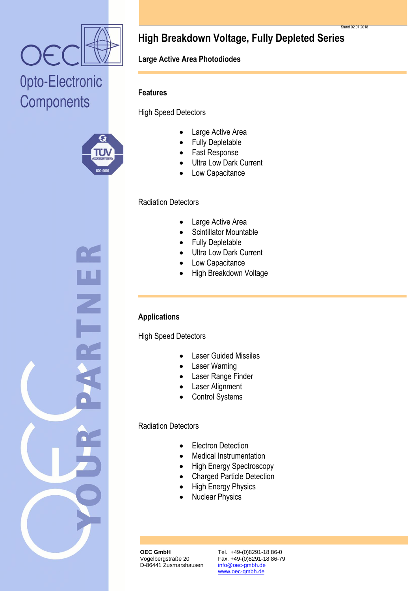





# **High Breakdown Voltage, Fully Depleted Series**

# **Large Active Area Photodiodes**

### **Features**

High Speed Detectors

- Large Active Area
- Fully Depletable
- Fast Response
- Ultra Low Dark Current
- Low Capacitance

### Radiation Detectors

- Large Active Area
- Scintillator Mountable
- Fully Depletable
- Ultra Low Dark Current
- Low Capacitance
- High Breakdown Voltage

### **Applications**

High Speed Detectors

- Laser Guided Missiles
- Laser Warning
- Laser Range Finder
- Laser Alignment
- Control Systems

## Radiation Detectors

- Electron Detection
- Medical Instrumentation
- High Energy Spectroscopy
- Charged Particle Detection
- High Energy Physics
- Nuclear Physics

**OEC GmbH** Vogelbergstraße 20 D-86441 Zusmarshausen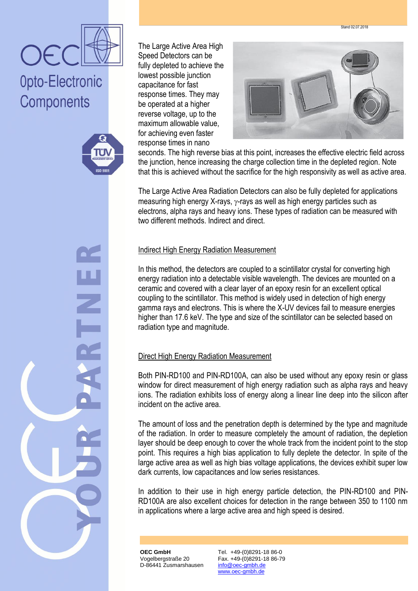Stand 02.07.2018



# Opto-Electronic Components



The Large Active Area High Speed Detectors can be fully depleted to achieve the lowest possible junction capacitance for fast response times. They may be operated at a higher reverse voltage, up to the maximum allowable value, for achieving even faster response times in nano



seconds. The high reverse bias at this point, increases the effective electric field across the junction, hence increasing the charge collection time in the depleted region. Note that this is achieved without the sacrifice for the high responsivity as well as active area.

The Large Active Area Radiation Detectors can also be fully depleted for applications measuring high energy X-rays,  $\gamma$ -rays as well as high energy particles such as electrons, alpha rays and heavy ions. These types of radiation can be measured with two different methods. Indirect and direct.

### Indirect High Energy Radiation Measurement

In this method, the detectors are coupled to a scintillator crystal for converting high energy radiation into a detectable visible wavelength. The devices are mounted on a ceramic and covered with a clear layer of an epoxy resin for an excellent optical coupling to the scintillator. This method is widely used in detection of high energy gamma rays and electrons. This is where the X-UV devices fail to measure energies higher than 17.6 keV. The type and size of the scintillator can be selected based on radiation type and magnitude.

#### Direct High Energy Radiation Measurement

Both PIN-RD100 and PIN-RD100A, can also be used without any epoxy resin or glass window for direct measurement of high energy radiation such as alpha rays and heavy ions. The radiation exhibits loss of energy along a linear line deep into the silicon after incident on the active area.

The amount of loss and the penetration depth is determined by the type and magnitude of the radiation. In order to measure completely the amount of radiation, the depletion layer should be deep enough to cover the whole track from the incident point to the stop point. This requires a high bias application to fully deplete the detector. In spite of the large active area as well as high bias voltage applications, the devices exhibit super low dark currents, low capacitances and low series resistances.

In addition to their use in high energy particle detection, the PIN-RD100 and PIN-RD100A are also excellent choices for detection in the range between 350 to 1100 nm in applications where a large active area and high speed is desired.

**OEC GmbH** Vogelbergstraße 20 D-86441 Zusmarshausen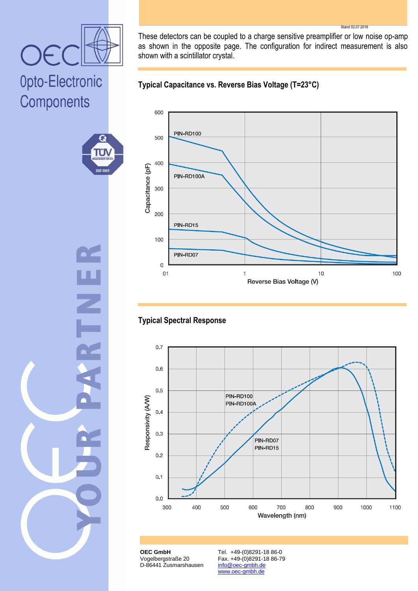

٤Ĵ ÜI **ISO 900** 

These detectors can be coupled to a charge sensitive preamplifier or low noise op-amp as shown in the opposite page. The configuration for indirect measurement is also shown with a scintillator crystal.

Stand 02.07.2018





# **Typical Spectral Response**



**OEC GmbH** Vogelbergstraße 20 D-86441 Zusmarshausen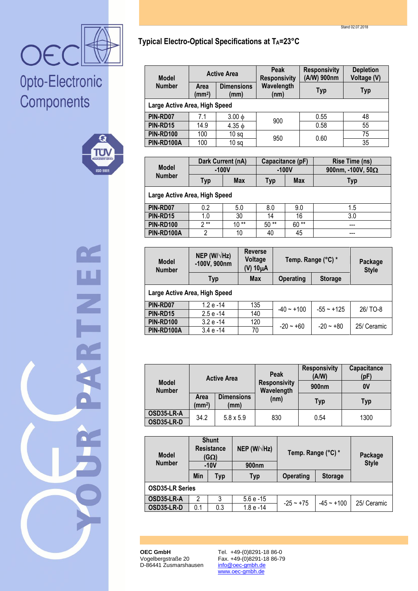



**Typical Electro-Optical Specifications at TA=23°C**

| <b>Model</b>                  | <b>Active Area</b>         |                           | Peak<br><b>Responsivity</b> | <b>Responsivity</b><br>(A/W) 900nm | <b>Depletion</b><br>Voltage (V) |  |  |
|-------------------------------|----------------------------|---------------------------|-----------------------------|------------------------------------|---------------------------------|--|--|
| <b>Number</b>                 | Area<br>(mm <sup>2</sup> ) | <b>Dimensions</b><br>(mm) | Wavelength<br>(nm)          | <b>Typ</b>                         | <b>Typ</b>                      |  |  |
| Large Active Area, High Speed |                            |                           |                             |                                    |                                 |  |  |
| PIN-RD07                      | 7.1                        | $3.00 \phi$               |                             | 0.55                               | 48                              |  |  |
| PIN-RD15                      | 14.9                       | $4.35 \phi$               | 900                         | 0.58                               | 55                              |  |  |
| <b>PIN-RD100</b>              | 100                        | 10 <sub>sq</sub>          | 950                         | 0.60                               | 75                              |  |  |
| PIN-RD100A                    | 100                        | 10 <sub>sq</sub>          |                             |                                    | 35                              |  |  |

|                               | Dark Current (nA) |            | Capacitance (pF) |            | Rise Time (ns)           |  |  |
|-------------------------------|-------------------|------------|------------------|------------|--------------------------|--|--|
| <b>Model</b><br><b>Number</b> | $-100V$           |            | $-100V$          |            | 900nm, -100V, $50\Omega$ |  |  |
|                               | Typ               | <b>Max</b> | Typ              | <b>Max</b> | <b>Typ</b>               |  |  |
| Large Active Area, High Speed |                   |            |                  |            |                          |  |  |
| PIN-RD07                      | 0.2               | 5.0        | 8.0              | 9.0        | 1.5                      |  |  |
| PIN-RD15                      | 1.0               | 30         | 14               | 16         | 3.0                      |  |  |
| <b>PIN-RD100</b>              | ን **              | $10**$     | $50**$           | $60**$     | ---                      |  |  |
| PIN-RD100A                    | 2                 | 10         | 40               | 45         |                          |  |  |

| <b>Model</b><br><b>Number</b> | NEP (W/ $\sqrt{Hz}$ )<br>-100V, 900nm | <b>Reverse</b><br>Voltage<br>$(V)$ 10 $\mu$ A | Temp. Range (°C) * |                | Package<br><b>Style</b> |  |  |  |
|-------------------------------|---------------------------------------|-----------------------------------------------|--------------------|----------------|-------------------------|--|--|--|
|                               | Typ                                   | <b>Max</b>                                    | <b>Operating</b>   | <b>Storage</b> |                         |  |  |  |
| Large Active Area, High Speed |                                       |                                               |                    |                |                         |  |  |  |
| PIN-RD07                      | $1.2 e - 14$                          | 135                                           | $-40 - +100$       | $-55 - +125$   | 26/ TO-8                |  |  |  |
| PIN-RD15                      | $2.5e - 14$                           | 140                                           |                    |                |                         |  |  |  |
| <b>PIN-RD100</b>              | $3.2 e - 14$                          | 120                                           | $-20 - +60$        | $-20 - +80$    | 25/ Ceramic             |  |  |  |
| PIN-RD100A                    | $3.4e - 14$                           | 70                                            |                    |                |                         |  |  |  |

| <b>Model</b><br><b>Number</b> | <b>Active Area</b>         |                           | Peak<br><b>Responsivity</b><br>Wavelength | <b>Responsivity</b><br>(A/W)<br>900 <sub>nm</sub> | Capacitance<br>(pF)<br>0V |
|-------------------------------|----------------------------|---------------------------|-------------------------------------------|---------------------------------------------------|---------------------------|
|                               | Area<br>(mm <sup>2</sup> ) | <b>Dimensions</b><br>(mm) | (nm)                                      | Typ                                               | <b>Typ</b>                |
| OSD35-LR-A<br>OSD35-LR-D      | 34.2                       | $5.8 \times 5.9$          | 830                                       | 0.54                                              | 1300                      |

| <b>Model</b><br><b>Number</b> | <b>Shunt</b><br><b>Resistance</b><br>(GΩ)<br>$-10V$ |     | NEP (W/ $\sqrt{Hz}$ )<br>900 <sub>nm</sub> | Temp. Range (°C) *                 | Package<br><b>Style</b> |             |  |
|-------------------------------|-----------------------------------------------------|-----|--------------------------------------------|------------------------------------|-------------------------|-------------|--|
|                               | Min<br>Typ                                          |     | <b>Typ</b>                                 | <b>Operating</b><br><b>Storage</b> |                         |             |  |
| <b>OSD35-LR Series</b>        |                                                     |     |                                            |                                    |                         |             |  |
| OSD35-LR-A                    |                                                     |     | $5.6 e - 15$                               | $-25 - +75$                        | $-45 - +100$            | 25/ Ceramic |  |
| OSD35-LR-D                    | 0.1                                                 | 0.3 | $1.8 e - 14$                               |                                    |                         |             |  |

**OEC GmbH** Vogelbergstraße 20 D-86441 Zusmarshausen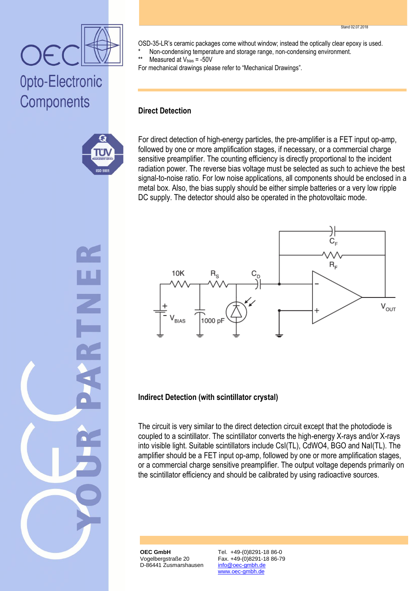OSD-35-LR's ceramic packages come without window; instead the optically clear epoxy is used.

\* Non-condensing temperature and storage range, non-condensing environment.

Measured at  $V_{bias} = -50V$ 

For mechanical drawings please refer to "Mechanical Drawings".

#### **Direct Detection**

Opto-Electronic

۳.

**ISO 900** 

Components

For direct detection of high-energy particles, the pre-amplifier is a FET input op-amp, followed by one or more amplification stages, if necessary, or a commercial charge sensitive preamplifier. The counting efficiency is directly proportional to the incident radiation power. The reverse bias voltage must be selected as such to achieve the best signal-to-noise ratio. For low noise applications, all components should be enclosed in a metal box. Also, the bias supply should be either simple batteries or a very low ripple DC supply. The detector should also be operated in the photovoltaic mode.



#### **Indirect Detection (with scintillator crystal)**

The circuit is very similar to the direct detection circuit except that the photodiode is coupled to a scintillator. The scintillator converts the high-energy X-rays and/or X-rays into visible light. Suitable scintillators include CsI(TL), CdWO4, BGO and NaI(TL). The amplifier should be a FET input op-amp, followed by one or more amplification stages, or a commercial charge sensitive preamplifier. The output voltage depends primarily on the scintillator efficiency and should be calibrated by using radioactive sources.

**OEC GmbH** Vogelbergstraße 20 D-86441 Zusmarshausen